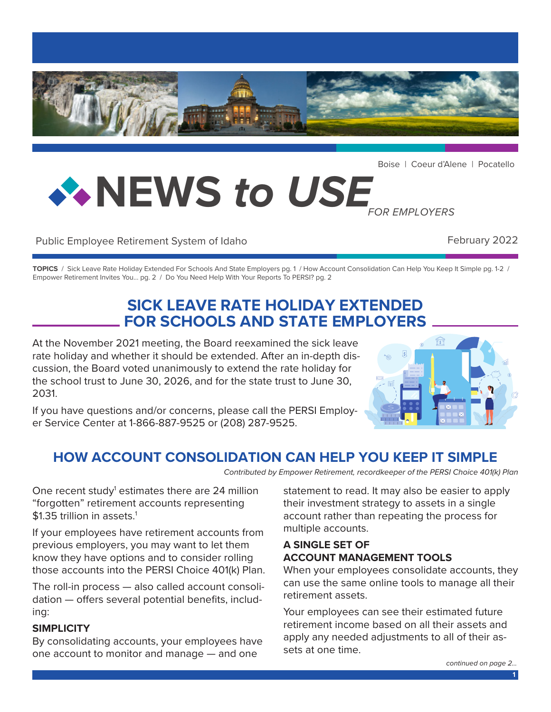

Boise | Coeur d'Alene | Pocatello

# **NEWS** *to USE FOR EMPLOYERS*

#### Public Employee Retirement System of Idaho **February 2022**

**TOPICS** / Sick Leave Rate Holiday Extended For Schools And State Employers pg. 1 / How Account Consolidation Can Help You Keep It Simple pg. 1-2 / Empower Retirement Invites You... pg. 2 / Do You Need Help With Your Reports To PERSI? pg. 2

# **SICK LEAVE RATE HOLIDAY EXTENDED FOR SCHOOLS AND STATE EMPLOYERS**

At the November 2021 meeting, the Board reexamined the sick leave rate holiday and whether it should be extended. After an in-depth discussion, the Board voted unanimously to extend the rate holiday for the school trust to June 30, 2026, and for the state trust to June 30, 2031.

If you have questions and/or concerns, please call the PERSI Employer Service Center at 1-866-887-9525 or (208) 287-9525.



# **HOW ACCOUNT CONSOLIDATION CAN HELP YOU KEEP IT SIMPLE**

*Contributed by Empower Retirement, recordkeeper of the PERSI Choice 401(k) Plan*

One recent study<sup>1</sup> estimates there are 24 million "forgotten" retirement accounts representing \$1.35 trillion in assets.<sup>1</sup>

If your employees have retirement accounts from previous employers, you may want to let them know they have options and to consider rolling those accounts into the PERSI Choice 401(k) Plan.

The roll-in process — also called account consolidation — offers several potential benefits, including:

#### **SIMPLICITY**

By consolidating accounts, your employees have one account to monitor and manage — and one

statement to read. It may also be easier to apply their investment strategy to assets in a single account rather than repeating the process for multiple accounts.

#### **A SINGLE SET OF ACCOUNT MANAGEMENT TOOLS**

When your employees consolidate accounts, they can use the same online tools to manage all their retirement assets.

Your employees can see their estimated future retirement income based on all their assets and apply any needed adjustments to all of their assets at one time.